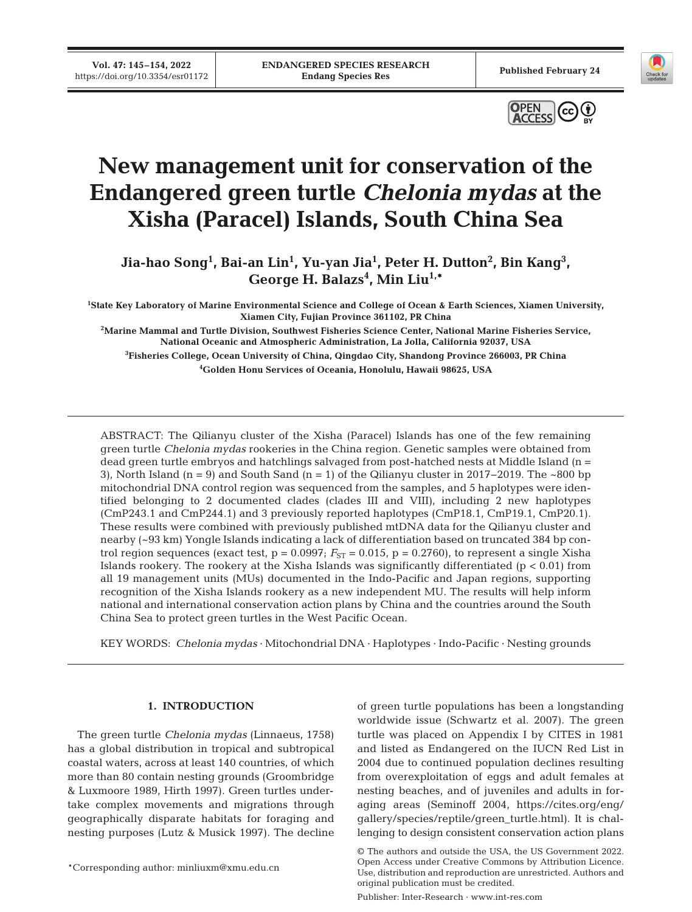**Vol. 47: 145–154, 2022** 





# **New management unit for conservation of the Endangered green turtle** *Chelonia mydas* **at the Xisha (Paracel) Islands, South China Sea**

Jia-hao Song<sup>1</sup>, Bai-an Lin<sup>1</sup>, Yu-yan Jia<sup>1</sup>, Peter H. Dutton<sup>2</sup>, Bin Kang<sup>3</sup>, **George H. Balazs4 , Min Liu1,\***

**1 State Key Laboratory of Marine Environmental Science and College of Ocean & Earth Sciences, Xiamen University, Xiamen City, Fujian Province 361102, PR China** 

**2 Marine Mammal and Turtle Division, Southwest Fisheries Science Center, National Marine Fisheries Service, National Oceanic and Atmospheric Administration, La Jolla, California 92037, USA** 

**3 Fisheries College, Ocean University of China, Qingdao City, Shandong Province 266003, PR China 4 Golden Honu Services of Oceania, Honolulu, Hawaii 98625, USA**

ABSTRACT: The Qilianyu cluster of the Xisha (Paracel) Islands has one of the few remaining green turtle *Chelonia mydas* rookeries in the China region. Genetic samples were obtained from dead green turtle embryos and hatchlings salvaged from post-hatched nests at Middle Island (n = 3), North Island (n = 9) and South Sand (n = 1) of the Qilianyu cluster in 2017−2019. The ~800 bp mitochondrial DNA control region was sequenced from the samples, and 5 haplotypes were identified belonging to 2 documented clades (clades III and VIII), including 2 new haplotypes (CmP243.1 and CmP244.1) and 3 previously reported haplotypes (CmP18.1, CmP19.1, CmP20.1). These results were combined with previously published mtDNA data for the Qilianyu cluster and nearby (~93 km) Yongle Islands indicating a lack of differentiation based on truncated 384 bp control region sequences (exact test,  $p = 0.0997$ ;  $F_{ST} = 0.015$ ,  $p = 0.2760$ ), to represent a single Xisha Islands rookery. The rookery at the Xisha Islands was significantly differentiated  $(p < 0.01)$  from all 19 management units (MUs) documented in the Indo-Pacific and Japan regions, supporting recognition of the Xisha Islands rookery as a new independent MU. The results will help inform national and international conservation action plans by China and the countries around the South China Sea to protect green turtles in the West Pacific Ocean.

KEY WORDS: *Chelonia mydas* · Mitochondrial DNA · Haplotypes · Indo-Pacific · Nesting grounds

# **1. INTRODUCTION**

The green turtle *Chelonia mydas* (Linnaeus, 1758) has a global distribution in tropical and subtropical coastal waters, across at least 140 countries, of which more than 80 contain nesting grounds (Groombridge & Luxmoore 1989, Hirth 1997). Green turtles undertake complex movements and migrations through geographically disparate habitats for foraging and nesting purposes (Lutz & Musick 1997). The decline

of green turtle populations has been a longstanding worldwide issue (Schwartz et al. 2007). The green turtle was placed on Appendix I by CITES in 1981 and listed as Endangered on the IUCN Red List in 2004 due to continued population declines resulting from overexploitation of eggs and adult females at nesting beaches, and of juveniles and adults in foraging areas (Seminoff 2004, https://cites.org/eng/ gallery/species/reptile/green\_turtle.html). It is challenging to design consistent conservation action plans

Publisher: Inter-Research · www.int-res.com

<sup>\*</sup>Corresponding author: minliuxm@xmu.edu.cn

<sup>©</sup> The authors and outside the USA, the US Government 2022. Open Access under Creative Commons by Attribution Licence. Use, distribution and reproduction are unrestricted. Authors and original publication must be credited.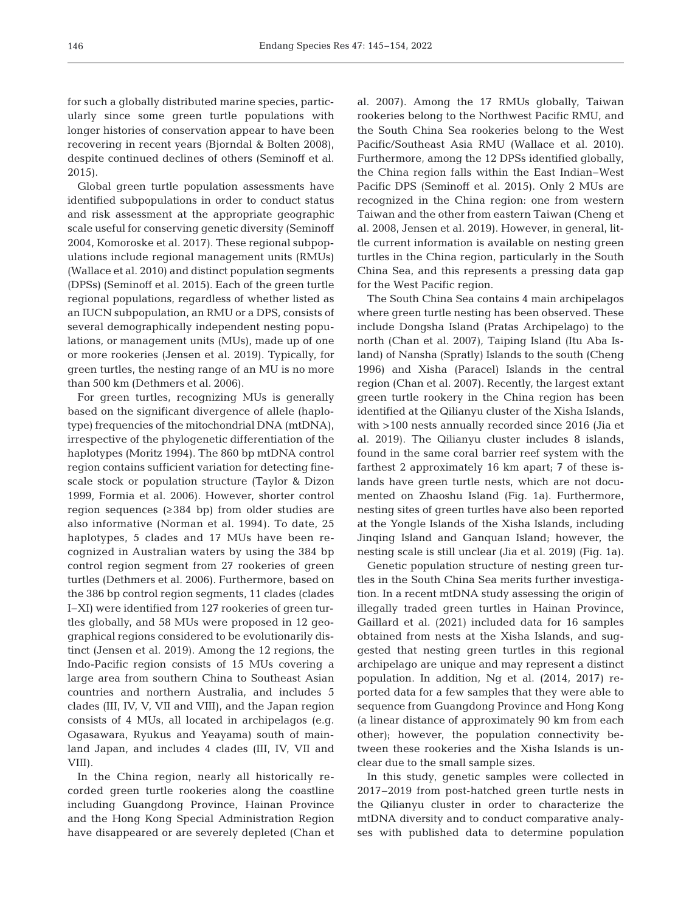for such a globally distributed marine species, particularly since some green turtle populations with longer histories of conservation appear to have been recovering in recent years (Bjorndal & Bolten 2008), despite continued declines of others (Seminoff et al. 2015).

Global green turtle population assessments have identified subpopulations in order to conduct status and risk assessment at the appropriate geographic scale useful for conserving genetic diversity (Seminoff 2004, Komoroske et al. 2017). These regional subpopulations include regional management units (RMUs) (Wallace et al. 2010) and distinct population segments (DPSs) (Seminoff et al. 2015). Each of the green turtle regional populations, regardless of whether listed as an IUCN subpopulation, an RMU or a DPS, consists of several demographically independent nesting populations, or management units (MUs), made up of one or more rookeries (Jensen et al. 2019). Typically, for green turtles, the nesting range of an MU is no more than 500 km (Dethmers et al. 2006).

For green turtles, recognizing MUs is generally based on the significant divergence of allele (haplotype) frequencies of the mitochondrial DNA (mtDNA), irrespective of the phylogenetic differentiation of the haplotypes (Moritz 1994). The 860 bp mtDNA control region contains sufficient variation for detecting finescale stock or population structure (Taylor & Dizon 1999, Formia et al. 2006). However, shorter control region sequences (≥384 bp) from older studies are also informative (Norman et al. 1994). To date, 25 haplotypes, 5 clades and 17 MUs have been recognized in Australian waters by using the 384 bp control region segment from 27 rookeries of green turtles (Dethmers et al. 2006). Furthermore, based on the 386 bp control region segments, 11 clades (clades I−XI) were identified from 127 rookeries of green turtles globally, and 58 MUs were proposed in 12 geographical regions considered to be evolutionarily distinct (Jensen et al. 2019). Among the 12 regions, the Indo-Pacific region consists of 15 MUs covering a large area from southern China to Southeast Asian countries and northern Australia, and includes 5 clades (III, IV, V, VII and VIII), and the Japan region consists of 4 MUs, all located in archipelagos (e.g. Ogasawara, Ryukus and Yeayama) south of mainland Japan, and includes 4 clades (III, IV, VII and VIII).

In the China region, nearly all historically recorded green turtle rookeries along the coastline including Guangdong Province, Hainan Province and the Hong Kong Special Administration Region have disappeared or are severely depleted (Chan et

al. 2007). Among the 17 RMUs globally, Taiwan rookeries belong to the Northwest Pacific RMU, and the South China Sea rookeries belong to the West Pacific/Southeast Asia RMU (Wallace et al. 2010). Furthermore, among the 12 DPSs identified globally, the China region falls within the East Indian−West Pacific DPS (Seminoff et al. 2015). Only 2 MUs are recognized in the China region: one from western Taiwan and the other from eastern Taiwan (Cheng et al. 2008, Jensen et al. 2019). However, in general, little current information is available on nesting green turtles in the China region, particularly in the South China Sea, and this represents a pressing data gap for the West Pacific region.

The South China Sea contains 4 main archipelagos where green turtle nesting has been observed. These include Dongsha Island (Pratas Archipelago) to the north (Chan et al. 2007), Taiping Island (Itu Aba Island) of Nansha (Spratly) Islands to the south (Cheng 1996) and Xisha (Paracel) Islands in the central region (Chan et al. 2007). Recently, the largest extant green turtle rookery in the China region has been identified at the Qilianyu cluster of the Xisha Islands, with >100 nests annually recorded since 2016 (Jia et al. 2019). The Qilianyu cluster includes 8 islands, found in the same coral barrier reef system with the farthest 2 approximately 16 km apart; 7 of these islands have green turtle nests, which are not documented on Zhaoshu Island (Fig. 1a). Furthermore, nesting sites of green turtles have also been reported at the Yongle Islands of the Xisha Islands, including Jinqing Island and Ganquan Island; however, the nesting scale is still unclear (Jia et al. 2019) (Fig. 1a).

Genetic population structure of nesting green turtles in the South China Sea merits further investigation. In a recent mtDNA study assessing the origin of illegally traded green turtles in Hainan Province, Gaillard et al. (2021) included data for 16 samples obtained from nests at the Xisha Islands, and suggested that nesting green turtles in this regional archipelago are unique and may represent a distinct population. In addition, Ng et al. (2014, 2017) reported data for a few samples that they were able to sequence from Guangdong Province and Hong Kong (a linear distance of approximately 90 km from each other); however, the population connectivity be tween these rookeries and the Xisha Islands is unclear due to the small sample sizes.

In this study, genetic samples were collected in 2017−2019 from post-hatched green turtle nests in the Qilianyu cluster in order to characterize the mtDNA diversity and to conduct comparative analyses with published data to determine population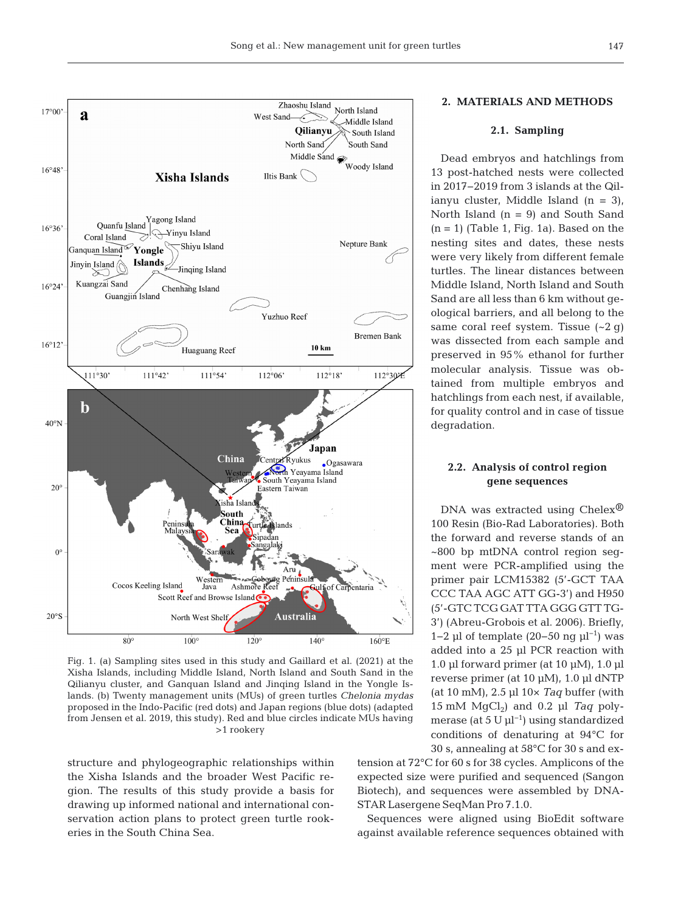

Fig. 1. (a) Sampling sites used in this study and Gaillard et al. (2021) at the Xisha Islands, including Middle Island, North Island and South Sand in the Qilianyu cluster, and Ganquan Island and Jinqing Island in the Yongle Islands. (b) Twenty management units (MUs) of green turtles *Chelonia mydas* proposed in the Indo-Pacific (red dots) and Japan regions (blue dots) (adapted from Jensen et al. 2019, this study). Red and blue circles indicate MUs having >1 rookery

structure and phylogeographic relationships within the Xisha Islands and the broader West Pacific re gion. The results of this study provide a basis for drawing up informed national and international conservation action plans to protect green turtle rookeries in the South China Sea.

# **2. MATERIALS AND METHODS**

# **2.1. Sampling**

Dead embryos and hatchlings from 13 post-hatched nests were collected in 2017−2019 from 3 islands at the Qilianyu cluster, Middle Island (n = 3), North Island  $(n = 9)$  and South Sand  $(n = 1)$  (Table 1, Fig. 1a). Based on the nesting sites and dates, these nests were very likely from different female turtles. The linear distances between Middle Island, North Island and South Sand are all less than 6 km without geological barriers, and all belong to the same coral reef system. Tissue (~2 g) was dissected from each sample and preserved in 95% ethanol for further molecular analysis. Tissue was obtained from multiple embryos and hatchlings from each nest, if available, for quality control and in case of tissue degradation.

# **2.2. Analysis of control region gene sequences**

DNA was extracted using Chelex<sup>®</sup> 100 Resin (Bio-Rad Laboratories). Both the forward and reverse stands of an ~800 bp mtDNA control region segment were PCR-amplified using the primer pair LCM15382 (5'-GCT TAA CCC TAA AGC ATT GG-3') and H950 (5'-GTC TCG GAT TTA GGG GTT TG-3') (Abreu-Grobois et al. 2006). Briefly, 1−2 μl of template (20−50 ng μl<sup>-1</sup>) was added into a 25 μl PCR reaction with 1.0 μl forward primer (at 10 μM), 1.0 μl reverse primer (at 10 μM), 1.0 μl dNTP (at 10 mM), 2.5 μl 10× *Taq* buffer (with  $15 \text{ mM } MgCl<sub>2</sub>$  and  $0.2 \text{ µl } Taq$  polymerase (at  $5 \text{ U } \mu \text{L}^{-1}$ ) using standardized conditions of denaturing at 94°C for 30 s, annealing at 58°C for 30 s and ex-

tension at 72°C for 60 s for 38 cycles. Amplicons of the expected size were purified and sequenced (Sangon Biotech), and sequences were assembled by DNA-STAR Lasergene SeqMan Pro 7.1.0.

Sequences were aligned using BioEdit software against available reference sequences obtained with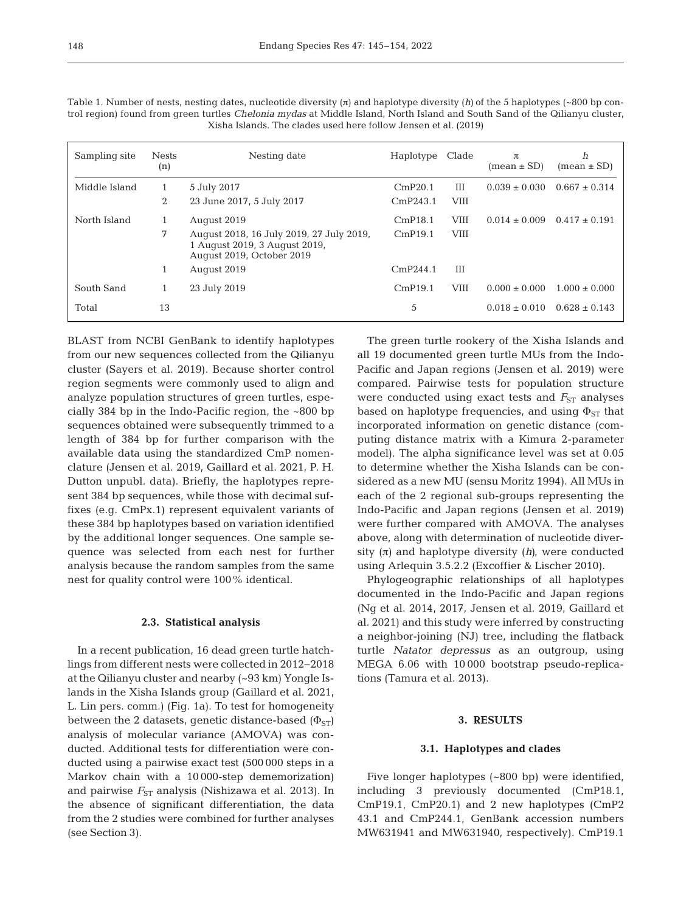| Sampling site | <b>Nests</b><br>(n) | Nesting date                                                                                           | Haplotype | Clade       | π<br>$mean \pm SD$ | h<br>$mean \pm SD$ |
|---------------|---------------------|--------------------------------------------------------------------------------------------------------|-----------|-------------|--------------------|--------------------|
| Middle Island | 1                   | 5 July 2017                                                                                            | CmP20.1   | Ш           | $0.039 \pm 0.030$  | $0.667 \pm 0.314$  |
|               | 2                   | 23 June 2017, 5 July 2017                                                                              | CmP243.1  | <b>VIII</b> |                    |                    |
| North Island  |                     | August 2019                                                                                            | CmP18.1   | <b>VIII</b> | $0.014 \pm 0.009$  | $0.417 \pm 0.191$  |
|               | 7                   | August 2018, 16 July 2019, 27 July 2019,<br>1 August 2019, 3 August 2019,<br>August 2019, October 2019 | CmP19.1   | <b>VIII</b> |                    |                    |
|               |                     | August 2019                                                                                            | CmP244.1  | ΠT          |                    |                    |
| South Sand    | 1                   | 23 July 2019                                                                                           | CmP19.1   | <b>VIII</b> | $0.000 \pm 0.000$  | $1.000 \pm 0.000$  |
| Total         | 13                  |                                                                                                        | 5         |             | $0.018 \pm 0.010$  | $0.628 \pm 0.143$  |

Table 1. Number of nests, nesting dates, nucleotide diversity (π) and haplotype diversity (*h)* of the 5 haplotypes (~800 bp control region) found from green turtles *Chelonia mydas* at Middle Island, North Island and South Sand of the Qilianyu cluster, Xisha Islands. The clades used here follow Jensen et al. (2019)

BLAST from NCBI GenBank to identify haplotypes from our new sequences collected from the Qilianyu cluster (Sayers et al. 2019). Because shorter control region segments were commonly used to align and analyze population structures of green turtles, especially 384 bp in the Indo-Pacific region, the ~800 bp sequences obtained were subsequently trimmed to a length of 384 bp for further comparison with the available data using the standardized CmP nomenclature (Jensen et al. 2019, Gaillard et al. 2021, P. H. Dutton unpubl. data). Briefly, the haplotypes represent 384 bp sequences, while those with decimal suffixes (e.g. CmPx.1) represent equivalent variants of these 384 bp haplotypes based on variation identified by the additional longer sequences. One sample sequence was selected from each nest for further analysis because the random samples from the same nest for quality control were 100% identical.

#### **2.3. Statistical analysis**

In a recent publication, 16 dead green turtle hatchlings from different nests were collected in 2012−2018 at the Qilianyu cluster and nearby (~93 km) Yongle Islands in the Xisha Islands group (Gaillard et al. 2021, L. Lin pers. comm.) (Fig. 1a). To test for homogeneity between the 2 datasets, genetic distance-based  $(\Phi_{ST})$ analysis of molecular variance (AMOVA) was conducted. Additional tests for differentiation were conducted using a pairwise exact test (500 000 steps in a Markov chain with a 10 000-step dememorization) and pairwise  $F_{ST}$  analysis (Nishizawa et al. 2013). In the absence of significant differentiation, the data from the 2 studies were combined for further analyses (see Section 3).

The green turtle rookery of the Xisha Islands and all 19 documented green turtle MUs from the Indo-Pacific and Japan regions (Jensen et al. 2019) were compared. Pairwise tests for population structure were conducted using exact tests and  $F_{ST}$  analyses based on haplotype frequencies, and using  $\Phi_{ST}$  that incorporated information on genetic distance (computing distance matrix with a Kimura 2-parameter model). The alpha significance level was set at 0.05 to determine whether the Xisha Islands can be considered as a new MU (sensu Moritz 1994). All MUs in each of the 2 regional sub-groups representing the Indo-Pacific and Japan regions (Jensen et al. 2019) were further compared with AMOVA. The analyses above, along with determination of nucleotide diversity  $(\pi)$  and haplotype diversity  $(h)$ , were conducted using Arlequin 3.5.2.2 (Excoffier & Lischer 2010).

Phylogeographic relationships of all haplotypes documented in the Indo-Pacific and Japan regions (Ng et al. 2014, 2017, Jensen et al. 2019, Gaillard et al. 2021) and this study were inferred by constructing a neighbor-joining (NJ) tree, including the flatback turtle *Natator depressus* as an outgroup, using MEGA 6.06 with 10 000 bootstrap pseudo-replications (Tamura et al. 2013).

# **3. RESULTS**

#### **3.1. Haplotypes and clades**

Five longer haplotypes (~800 bp) were identified, in cluding 3 previously documented (CmP18.1, CmP19.1, CmP20.1) and 2 new haplotypes (CmP2 43.1 and CmP244.1, GenBank accession numbers MW631941 and MW631940, respectively). CmP19.1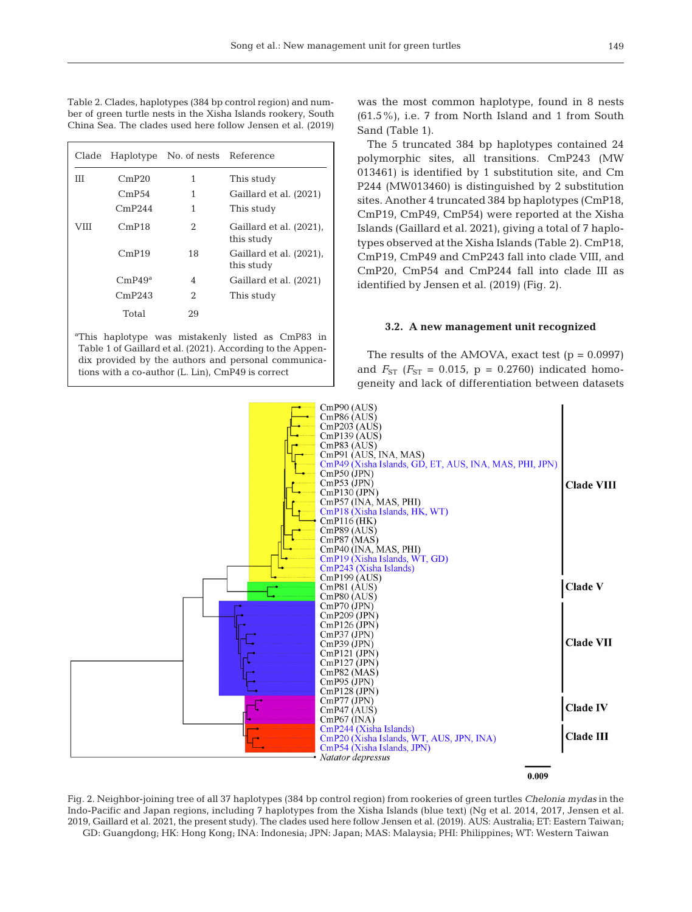Table 2. Clades, haplotypes (384 bp control region) and number of green turtle nests in the Xisha Islands rookery, South China Sea. The clades used here follow Jensen et al. (2019)

| Clade | Haplotype | No. of nests Reference |                                       |
|-------|-----------|------------------------|---------------------------------------|
| Ш     | CmP20     | 1                      | This study                            |
|       | CmP54     | 1                      | Gaillard et al. (2021)                |
|       | CmP244    | 1                      | This study                            |
| VIII  | CmP18     | 2                      | Gaillard et al. (2021).<br>this study |
|       | CmP19     | 18                     | Gaillard et al. (2021).<br>this study |
|       | CmP49a    | 4                      | Gaillard et al. (2021)                |
|       | CmP243    | 2                      | This study                            |
|       | Total     | 29                     |                                       |

a This haplotype was mistakenly listed as CmP83 in Table 1 of Gaillard et al. (2021). According to the Appendix provided by the authors and personal communications with a co-author (L. Lin), CmP49 is correct

was the most common haplotype, found in 8 nests (61.5%), i.e. 7 from North Island and 1 from South Sand (Table 1).

The 5 truncated 384 bp haplotypes contained 24 polymorphic sites, all transitions. CmP243 (MW 013461) is identified by 1 substitution site, and Cm P244 (MW013460) is distinguished by 2 substitution sites. Another 4 truncated 384 bp haplotypes (CmP18, CmP19, CmP49, CmP54) were reported at the Xisha Islands (Gaillard et al. 2021), giving a total of 7 haplotypes observed at the Xisha Islands (Table 2). CmP18, CmP19, CmP49 and CmP243 fall into clade VIII, and CmP20, CmP54 and CmP244 fall into clade III as identified by Jensen et al. (2019) (Fig. 2).

#### **3.2. A new management unit recognized**

The results of the AMOVA, exact test  $(p = 0.0997)$ and  $F_{ST}$  ( $F_{ST}$  = 0.015, p = 0.2760) indicated homogeneity and lack of differentiation between datasets



0.009

Fig. 2. Neighbor-joining tree of all 37 haplotypes (384 bp control region) from rookeries of green turtles *Chelonia mydas* in the Indo-Pacific and Japan regions, including 7 haplotypes from the Xisha Islands (blue text) (Ng et al. 2014, 2017, Jensen et al. 2019, Gaillard et al. 2021, the present study). The clades used here follow Jensen et al. (2019). AUS: Australia; ET: Eastern Taiwan; GD: Guangdong; HK: Hong Kong; INA: Indonesia; JPN: Japan; MAS: Malaysia; PHI: Philippines; WT: Western Taiwan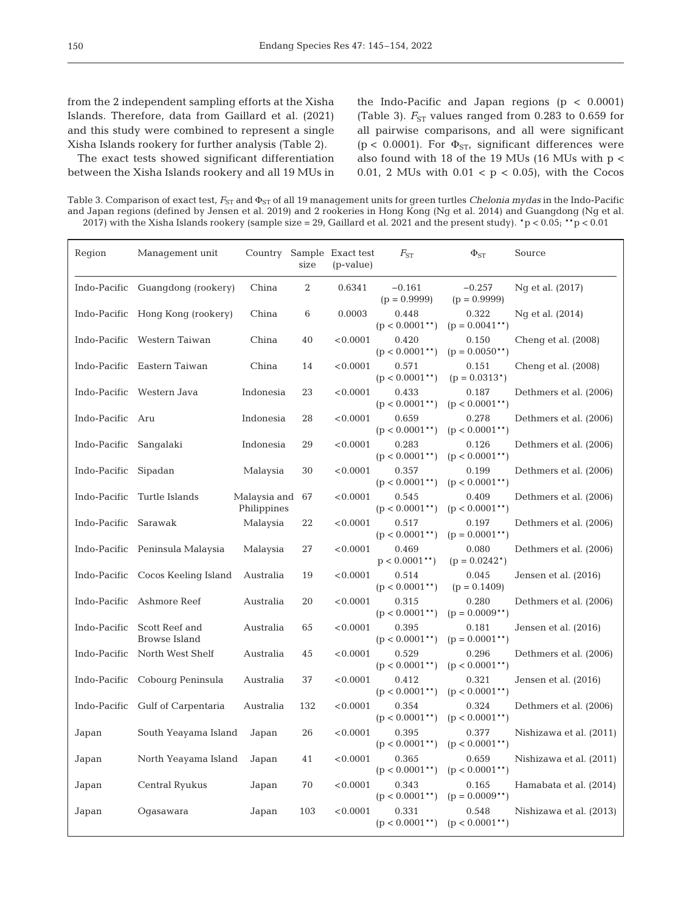from the 2 independent sampling efforts at the Xisha Islands. Therefore, data from Gaillard et al. (2021) and this study were combined to represent a single Xisha Islands rookery for further analysis (Table 2).

The exact tests showed significant differentiation be tween the Xisha Islands rookery and all 19 MUs in

the Indo-Pacific and Japan regions  $(p < 0.0001)$ (Table 3).  $F_{ST}$  values ranged from 0.283 to 0.659 for all pairwise comparisons, and all were significant (p < 0.0001). For  $\Phi_{ST}$ , significant differences were also found with 18 of the 19 MUs (16 MUs with p < 0.01, 2 MUs with  $0.01 < p < 0.05$ ), with the Cocos

Table 3. Comparison of exact test,  $F_{ST}$  and  $Φ_{ST}$  of all 19 management units for green turtles *Chelonia mydas* in the Indo-Pacific and Japan regions (defined by Jensen et al. 2019) and 2 rookeries in Hong Kong (Ng et al. 2014) and Guangdong (Ng et al. 2017) with the Xisha Islands rookery (sample size = 29, Gaillard et al. 2021 and the present study). \*p < 0.05; \*\*p < 0.01

| Region               | Management unit                                     |                             | size | Country Sample Exact test<br>(p-value) | $F_{ST}$                   | $\Phi_{ST}$                | Source                  |
|----------------------|-----------------------------------------------------|-----------------------------|------|----------------------------------------|----------------------------|----------------------------|-------------------------|
|                      | Indo-Pacific Guangdong (rookery)                    | China                       | 2    | 0.6341                                 | $-0.161$<br>$(p = 0.9999)$ | $-0.257$<br>$(p = 0.9999)$ | Ng et al. (2017)        |
|                      | Indo-Pacific Hong Kong (rookery)                    | China                       | 6    | 0.0003                                 | 0.448<br>$(p < 0.0001$ **) | 0.322<br>$(p = 0.0041**)$  | Ng et al. (2014)        |
|                      | Indo-Pacific Western Taiwan                         | China                       | 40   | < 0.0001                               | 0.420<br>$(p < 0.0001$ **) | 0.150<br>$(p = 0.0050**)$  | Cheng et al. (2008)     |
|                      | Indo-Pacific Eastern Taiwan                         | China                       | 14   | < 0.0001                               | 0.571<br>$(p < 0.0001$ **) | 0.151<br>$(p = 0.0313*)$   | Cheng et al. (2008)     |
|                      | Indo-Pacific Western Java                           | Indonesia                   | 23   | < 0.0001                               | 0.433<br>$(p < 0.0001$ **) | 0.187<br>$(p < 0.0001$ **) | Dethmers et al. (2006)  |
| Indo-Pacific Aru     |                                                     | Indonesia                   | 28   | < 0.0001                               | 0.659<br>$(p < 0.0001$ **) | 0.278<br>$(p < 0.0001$ **) | Dethmers et al. (2006)  |
| Indo-Pacific         | Sangalaki                                           | Indonesia                   | 29   | < 0.0001                               | 0.283<br>$(p < 0.0001$ **) | 0.126<br>$(p < 0.0001$ **) | Dethmers et al. (2006)  |
| Indo-Pacific         | Sipadan                                             | Malaysia                    | 30   | < 0.0001                               | 0.357<br>$(p < 0.0001$ **) | 0.199<br>$(p < 0.0001$ **) | Dethmers et al. (2006)  |
| Indo-Pacific         | Turtle Islands                                      | Malaysia and<br>Philippines | 67   | < 0.0001                               | 0.545<br>$(p < 0.0001$ **) | 0.409<br>$(p < 0.0001$ **) | Dethmers et al. (2006)  |
| Indo-Pacific Sarawak |                                                     | Malaysia                    | 22   | < 0.0001                               | 0.517<br>$(p < 0.0001$ **) | 0.197<br>$(p = 0.0001**)$  | Dethmers et al. (2006)  |
|                      | Indo-Pacific Peninsula Malaysia                     | Malaysia                    | 27   | < 0.0001                               | 0.469<br>$p < 0.0001$ **)  | 0.080<br>$(p = 0.0242^*)$  | Dethmers et al. (2006)  |
|                      | Indo-Pacific Cocos Keeling Island                   | Australia                   | 19   | < 0.0001                               | 0.514<br>$(p < 0.0001$ **) | 0.045<br>$(p = 0.1409)$    | Jensen et al. (2016)    |
|                      | Indo-Pacific Ashmore Reef                           | Australia                   | 20   | < 0.0001                               | 0.315<br>$(p < 0.0001$ **) | 0.280<br>$(p = 0.0009**)$  | Dethmers et al. (2006)  |
|                      | Indo-Pacific Scott Reef and<br><b>Browse Island</b> | Australia                   | 65   | < 0.0001                               | 0.395<br>$(p < 0.0001$ **) | 0.181<br>$(p = 0.0001**)$  | Jensen et al. (2016)    |
|                      | Indo-Pacific North West Shelf                       | Australia                   | 45   | < 0.0001                               | 0.529<br>$(p < 0.0001$ **) | 0.296<br>$(p < 0.0001$ **) | Dethmers et al. (2006)  |
|                      | Indo-Pacific Cobourg Peninsula                      | Australia                   | 37   | < 0.0001                               | 0.412<br>$(p < 0.0001$ **) | 0.321<br>$(p < 0.0001$ **) | Jensen et al. (2016)    |
|                      | Indo-Pacific Gulf of Carpentaria                    | Australia                   | 132  | < 0.0001                               | 0.354<br>$(p < 0.0001$ **) | 0.324<br>$(p < 0.0001$ **) | Dethmers et al. (2006)  |
| Japan                | South Yeayama Island                                | Japan                       | 26   | < 0.0001                               | 0.395<br>$(p < 0.0001$ **) | 0.377<br>$(p < 0.0001$ **) | Nishizawa et al. (2011) |
| Japan                | North Yeayama Island                                | Japan                       | 41   | < 0.0001                               | 0.365<br>$(p < 0.0001$ **) | 0.659<br>$(p < 0.0001$ **) | Nishizawa et al. (2011) |
| Japan                | Central Ryukus                                      | Japan                       | 70   | < 0.0001                               | 0.343<br>$(p < 0.0001$ **) | 0.165<br>$(p = 0.0009**)$  | Hamabata et al. (2014)  |
| Japan                | Oqasawara                                           | Japan                       | 103  | < 0.0001                               | 0.331<br>$(p < 0.0001$ **) | 0.548<br>$(p < 0.0001$ **) | Nishizawa et al. (2013) |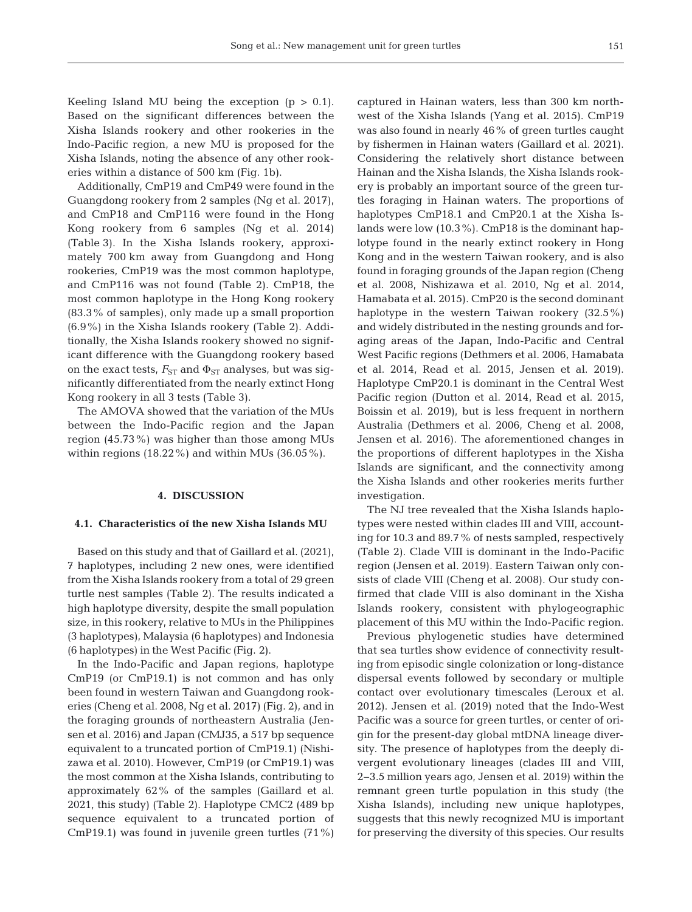Keeling Island MU being the exception  $(p > 0.1)$ . Based on the significant differences between the Xisha Islands rookery and other rookeries in the Indo-Pacific region, a new MU is proposed for the Xisha Islands, noting the absence of any other rookeries within a distance of 500 km (Fig. 1b).

Additionally, CmP19 and CmP49 were found in the Guangdong rookery from 2 samples (Ng et al. 2017), and CmP18 and CmP116 were found in the Hong Kong rookery from 6 samples (Ng et al. 2014) (Table 3). In the Xisha Islands rookery, approximately 700 km away from Guangdong and Hong rookeries, CmP19 was the most common haplotype, and CmP116 was not found (Table 2). CmP18, the most common haplotype in the Hong Kong rookery (83.3% of samples), only made up a small proportion (6.9%) in the Xisha Islands rookery (Table 2). Additionally, the Xisha Islands rookery showed no significant difference with the Guangdong rookery based on the exact tests,  $F_{ST}$  and  $\Phi_{ST}$  analyses, but was significantly differentiated from the nearly extinct Hong Kong rookery in all 3 tests (Table 3).

The AMOVA showed that the variation of the MUs between the Indo-Pacific region and the Japan region (45.73%) was higher than those among MUs within regions (18.22%) and within MUs (36.05%).

## **4. DISCUSSION**

## **4.1. Characteristics of the new Xisha Islands MU**

Based on this study and that of Gaillard et al. (2021), 7 haplotypes, including 2 new ones, were identified from the Xisha Islands rookery from a total of 29 green turtle nest samples (Table 2). The results indicated a high haplotype diversity, despite the small population size, in this rookery, relative to MUs in the Philippines (3 haplotypes), Malaysia (6 haplotypes) and Indonesia (6 haplotypes) in the West Pacific (Fig. 2).

In the Indo-Pacific and Japan regions, haplotype CmP19 (or CmP19.1) is not common and has only been found in western Taiwan and Guangdong rookeries (Cheng et al. 2008, Ng et al. 2017) (Fig. 2), and in the foraging grounds of northeastern Australia (Jensen et al. 2016) and Japan (CMJ35, a 517 bp sequence equivalent to a truncated portion of CmP19.1) (Nishi zawa et al. 2010). However, CmP19 (or CmP19.1) was the most common at the Xisha Islands, contributing to approximately 62% of the samples (Gaillard et al. 2021, this study) (Table 2). Haplotype CMC2 (489 bp sequence equivalent to a truncated portion of CmP19.1) was found in juvenile green turtles (71%) captured in Hainan waters, less than 300 km northwest of the Xisha Islands (Yang et al. 2015). CmP19 was also found in nearly 46% of green turtles caught by fishermen in Hainan waters (Gaillard et al. 2021). Considering the relatively short distance between Hainan and the Xisha Islands, the Xisha Islands rookery is probably an important source of the green turtles foraging in Hainan waters. The proportions of haplotypes CmP18.1 and CmP20.1 at the Xisha Islands were low (10.3%). CmP18 is the dominant haplotype found in the nearly extinct rookery in Hong Kong and in the western Taiwan rookery, and is also found in foraging grounds of the Japan region (Cheng et al. 2008, Nishizawa et al. 2010, Ng et al. 2014, Hama bata et al. 2015). CmP20 is the second dominant haplotype in the western Taiwan rookery  $(32.5\%)$ and widely distributed in the nesting grounds and foraging areas of the Japan, Indo-Pacific and Central West Pacific regions (Dethmers et al. 2006, Hamabata et al. 2014, Read et al. 2015, Jensen et al. 2019). Haplotype CmP20.1 is dominant in the Central West Pacific region (Dutton et al. 2014, Read et al. 2015, Boissin et al. 2019), but is less frequent in northern Australia (Dethmers et al. 2006, Cheng et al. 2008, Jensen et al. 2016). The aforementioned changes in the proportions of different haplotypes in the Xisha Islands are significant, and the connectivity among the Xisha Islands and other rookeries merits further investigation.

The NJ tree revealed that the Xisha Islands haplotypes were nested within clades III and VIII, accounting for 10.3 and 89.7% of nests sampled, respectively (Table 2). Clade VIII is dominant in the Indo-Pacific region (Jensen et al. 2019). Eastern Taiwan only consists of clade VIII (Cheng et al. 2008). Our study confirmed that clade VIII is also dominant in the Xisha Islands rookery, consistent with phylogeographic placement of this MU within the Indo-Pacific region.

Previous phylogenetic studies have determined that sea turtles show evidence of connectivity resulting from episodic single colonization or long-distance dispersal events followed by secondary or multiple contact over evolutionary timescales (Leroux et al. 2012). Jensen et al. (2019) noted that the Indo-West Pacific was a source for green turtles, or center of origin for the present-day global mtDNA lineage diversity. The presence of haplotypes from the deeply divergent evolutionary lineages (clades III and VIII, 2−3.5 million years ago, Jensen et al. 2019) within the remnant green turtle population in this study (the Xisha Islands), including new unique haplotypes, suggests that this newly recognized MU is important for preserving the diversity of this species. Our results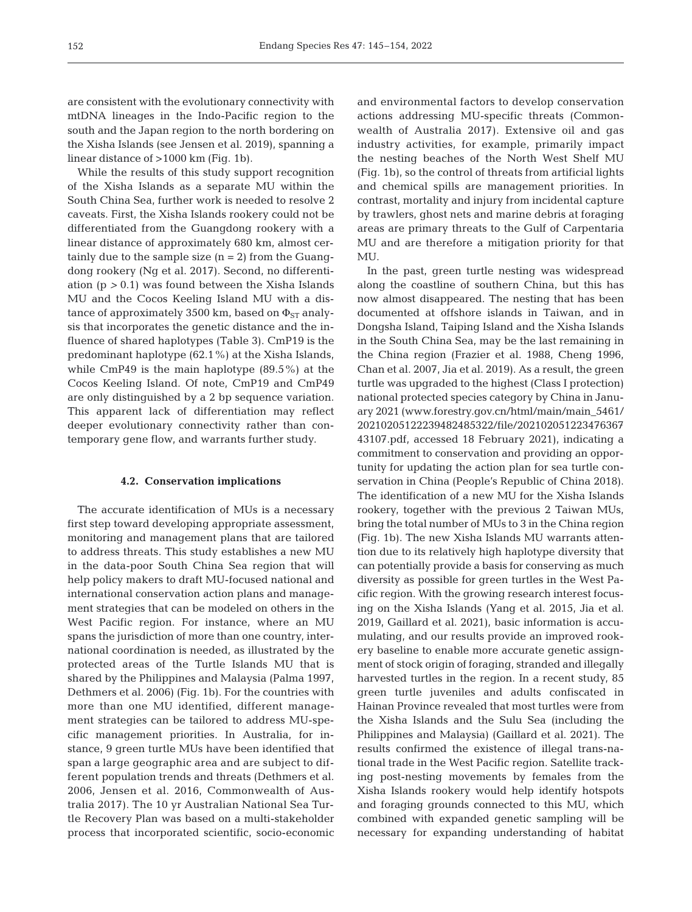are consistent with the evolutionary connectivity with mtDNA lineages in the Indo-Pacific region to the south and the Japan region to the north bordering on the Xisha Islands (see Jensen et al. 2019), spanning a linear distance of >1000 km (Fig. 1b).

While the results of this study support recognition of the Xisha Islands as a separate MU within the South China Sea, further work is needed to resolve 2 caveats. First, the Xisha Islands rookery could not be differentiated from the Guangdong rookery with a linear distance of approximately 680 km, almost certainly due to the sample size  $(n = 2)$  from the Guangdong rookery (Ng et al. 2017). Second, no differentiation (p *>* 0.1) was found between the Xisha Islands MU and the Cocos Keeling Island MU with a distance of approximately 3500 km, based on  $\Phi_{ST}$  analysis that incorporates the genetic distance and the in fluence of shared haplotypes (Table 3). CmP19 is the predominant haplotype (62.1%) at the Xisha Islands, while CmP49 is the main haplotype (89.5%) at the Cocos Keeling Island. Of note, CmP19 and CmP49 are only distinguished by a 2 bp sequence variation. This apparent lack of differentiation may reflect deeper evolutionary connectivity rather than contemporary gene flow, and warrants further study.

## **4.2. Conservation implications**

The accurate identification of MUs is a necessary first step toward developing appropriate assessment, monitoring and management plans that are tailored to address threats. This study establishes a new MU in the data-poor South China Sea region that will help policy makers to draft MU-focused national and international conservation action plans and management strategies that can be modeled on others in the West Pacific region. For instance, where an MU spans the jurisdiction of more than one country, international coordination is needed, as illustrated by the protected areas of the Turtle Islands MU that is shared by the Philippines and Malaysia (Palma 1997, Dethmers et al. 2006) (Fig. 1b). For the countries with more than one MU identified, different management strategies can be tailored to address MU-specific management priorities. In Australia, for instance, 9 green turtle MUs have been identified that span a large geographic area and are subject to different population trends and threats (Dethmers et al. 2006, Jensen et al. 2016, Commonwealth of Australia 2017). The 10 yr Australian National Sea Turtle Recovery Plan was based on a multi-stakeholder process that in corporated scientific, socio-economic and environmental factors to develop conservation actions addressing MU-specific threats (Commonwealth of Australia 2017). Extensive oil and gas industry activities, for example, primarily impact the nesting beaches of the North West Shelf MU (Fig. 1b), so the control of threats from artificial lights and chemical spills are management priorities. In contrast, mortality and injury from incidental capture by trawlers, ghost nets and marine debris at foraging areas are primary threats to the Gulf of Carpentaria MU and are therefore a mitigation priority for that MU.

In the past, green turtle nesting was widespread along the coastline of southern China, but this has now almost disappeared. The nesting that has been documented at offshore islands in Taiwan, and in Dongsha Island, Taiping Island and the Xisha Islands in the South China Sea, may be the last remaining in the China region (Frazier et al. 1988, Cheng 1996, Chan et al. 2007, Jia et al. 2019). As a result, the green turtle was upgraded to the highest (Class I protection) national protected species category by China in January 2021 (www.forestry.gov.cn/html/main/main\_5461/ 20210205122239482485322/file/202102051223476367 43107.pdf, accessed 18 February 2021), indicating a commitment to conservation and providing an opportunity for updating the action plan for sea turtle conservation in China (People's Republic of China 2018). The identification of a new MU for the Xisha Islands rookery, together with the previous 2 Taiwan MUs, bring the total number of MUs to 3 in the China region (Fig. 1b). The new Xisha Islands MU warrants attention due to its relatively high haplotype diversity that can potentially provide a basis for conserving as much diversity as possible for green turtles in the West Pacific region. With the growing research interest focusing on the Xisha Islands (Yang et al. 2015, Jia et al. 2019, Gaillard et al. 2021), basic information is accumulating, and our results provide an improved rookery baseline to enable more accurate genetic assignment of stock origin of foraging, stranded and illegally harvested turtles in the region. In a recent study, 85 green turtle juveniles and adults confiscated in Hainan Province revealed that most turtles were from the Xisha Islands and the Sulu Sea (including the Philippines and Malaysia) (Gaillard et al. 2021). The results confirmed the existence of illegal trans-national trade in the West Pacific region. Satellite tracking post-nesting movements by females from the Xisha Islands rookery would help identify hotspots and foraging grounds connected to this MU, which combined with expanded genetic sampling will be necessary for expanding understanding of habitat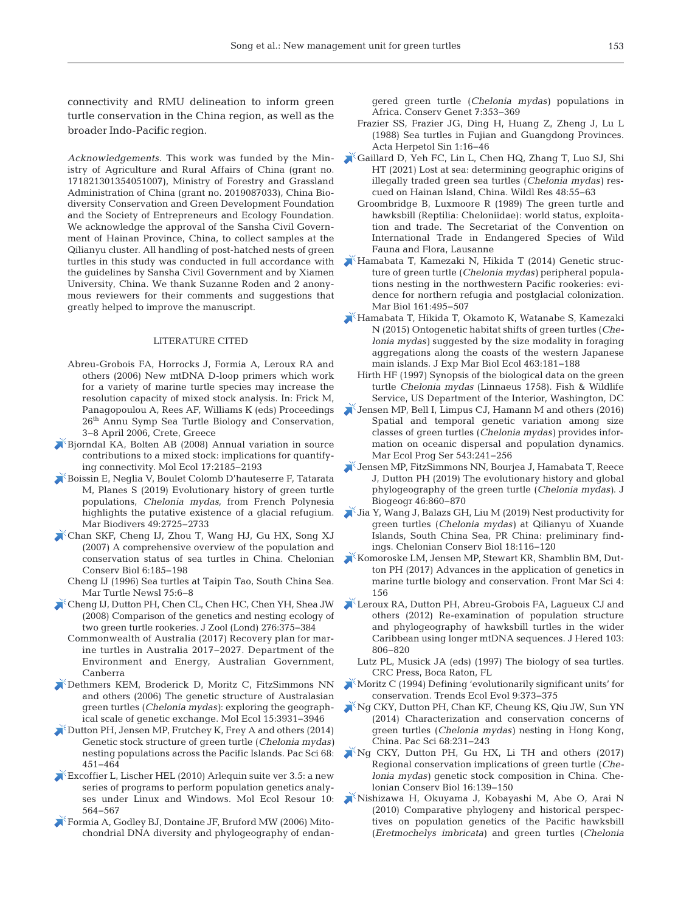connectivity and RMU delineation to inform green turtle conservation in the China region, as well as the broader Indo-Pacific region.

*Acknowledgements*. This work was funded by the Ministry of Agriculture and Rural Affairs of China (grant no. 171821301354051007), Ministry of Forestry and Grassland Administration of China (grant no. 2019087033), China Biodiversity Conservation and Green Development Foundation and the Society of Entrepreneurs and Ecology Foundation. We acknowledge the approval of the Sansha Civil Government of Hainan Province, China, to collect samples at the Qilianyu cluster. All handling of post-hatched nests of green turtles in this study was conducted in full accordance with the guidelines by Sansha Civil Government and by Xiamen University, China. We thank Suzanne Roden and 2 anonymous reviewers for their comments and suggestions that greatly helped to improve the manuscript.

#### LITERATURE CITED

- Abreu-Grobois FA, Horrocks J, Formia A, Leroux RA and others (2006) New mtDNA D-loop primers which work for a variety of marine turtle species may increase the resolution capacity of mixed stock analysis. In: Frick M, Panagopoulou A, Rees AF, Williams K (eds) Proceedings 26th Annu Symp Sea Turtle Biology and Conservation, 3−8 April 2006, Crete, Greece
- [Bjorndal KA, Bolten AB \(2008\) Annual variation in source](https://doi.org/10.1111/j.1365-294X.2008.03752.x)  contributions to a mixed stock: implications for quantifying connectivity. Mol Ecol 17: 2185−2193
- [Boissin E, Neglia V, Boulet Colomb D'hauteserre F, Tatarata](https://doi.org/10.1007/s12526-019-01001-6)  M, Planes S (2019) Evolutionary history of green turtle populations, *Chelonia mydas*, from French Polynesia highlights the putative existence of a glacial refugium. Mar Biodivers 49:2725-2733
- [Chan SKF, Cheng IJ, Zhou T, Wang HJ, Gu HX, Song XJ](https://doi.org/10.2744/1071-8443(2007)6%5b185%3AACOOTP%5d2.0.CO%3B2)  (2007) A comprehensive overview of the population and conservation status of sea turtles in China. Chelonian Conserv Biol 6: 185−198
	- Cheng IJ (1996) Sea turtles at Taipin Tao, South China Sea. Mar Turtle Newsl 75:6-8
- [Cheng IJ, Dutton PH, Chen CL, Chen HC, Chen YH, Shea JW](https://doi.org/10.1111/j.1469-7998.2008.00501.x)  (2008) Comparison of the genetics and nesting ecology of two green turtle rookeries. J Zool (Lond) 276: 375−384
	- Commonwealth of Australia (2017) Recovery plan for marine turtles in Australia 2017−2027. Department of the Environment and Energy, Australian Government, Canberra
- [Dethmers KEM, Broderick D, Moritz C, FitzSimmons NN](https://doi.org/10.1111/j.1365-294X.2006.03070.x)  and others (2006) The genetic structure of Australasian green turtles (*Chelonia mydas*): exploring the geographical scale of genetic exchange. Mol Ecol 15: 3931−3946
- [Dutton PH, Jensen MP, Frutchey K, Frey A and others \(2014\)](https://doi.org/10.2984/68.4.1)  Genetic stock structure of green turtle (*Chelonia mydas)* nesting populations across the Pacific Islands. Pac Sci 68: 451−464
- Excoffier L, Lischer HEL (2010) Arlequin suite ver 3.5: a new series of programs to perform population genetics analyses under Linux and Windows. Mol Ecol Resour 10: 564−567
- [Formia A, Godley BJ, Dontaine JF, Bruford MW \(2006\) Mito](https://doi.org/10.1007/s10592-005-9047-z)chondrial DNA diversity and phylogeography of endan-

gered green turtle (*Chelonia mydas)* populations in Africa. Conserv Genet 7:353-369

- Frazier SS, Frazier JG, Ding H, Huang Z, Zheng J, Lu L (1988) Sea turtles in Fujian and Guangdong Provinces. Acta Herpetol Sin 1: 16−46
- [Gaillard D, Yeh FC, Lin L, Chen HQ, Zhang T, Luo SJ, Shi](https://doi.org/10.1071/WR19127)  HT (2021) Lost at sea: determining geographic origins of illegally traded green sea turtles (*Chelonia mydas)* rescued on Hainan Island, China. Wildl Res 48:55-63
	- Groombridge B, Luxmoore R (1989) The green turtle and hawksbill (Reptilia: Cheloniidae): world status, exploitation and trade. The Secretariat of the Convention on International Trade in Endangered Species of Wild Fauna and Flora, Lausanne
- [Hamabata T, Kamezaki N, Hikida T \(2014\) Genetic struc](https://doi.org/10.1007/s00227-013-2352-z)ture of green turtle (*Chelonia mydas)* peripheral populations nesting in the northwestern Pacific rookeries: evidence for northern refugia and postglacial colonization. Mar Biol 161:495-507
- [Hamabata T, Hikida T, Okamoto K, Watanabe S, Kamezaki](https://doi.org/10.1016/j.jembe.2014.12.007)  N (2015) Ontogenetic habitat shifts of green turtles (*Chelonia mydas)* suggested by the size modality in foraging aggregations along the coasts of the western Japanese main islands. J Exp Mar Biol Ecol 463: 181−188
- Hirth HF (1997) Synopsis of the biological data on the green turtle *Chelonia mydas* (Linnaeus 1758). Fish & Wildlife Service, US Department of the Interior, Washington, DC
- [Jensen MP, Bell I, Limpus CJ, Hamann M and others \(2016\)](https://doi.org/10.3354/meps11521)  Spatial and temporal genetic variation among size classes of green turtles (*Chelonia mydas)* provides information on oceanic dispersal and population dynamics. Mar Ecol Prog Ser 543:241-256
- [Jensen MP, FitzSimmons NN, Bourjea J, Hamabata T, Reece](https://doi.org/10.1111/jbi.13483)  J, Dutton PH (2019) The evolutionary history and global phylogeography of the green turtle (*Chelonia mydas)*. J Biogeogr 46: 860−870
- [Jia Y, Wang J, Balazs GH, Liu M \(2019\) Nest productivity for](https://doi.org/10.2744/CCB-1307.1)  green turtles (*Chelonia mydas)* at Qilianyu of Xuande Islands, South China Sea, PR China: preliminary findings. Chelonian Conserv Biol 18: 116−120
- [Komoroske LM, Jensen MP, Stewart KR, Shamblin BM, Dut](https://doi.org/10.3389/fmars.2017.00156)ton PH (2017) Advances in the application of genetics in marine turtle biology and conservation. Front Mar Sci 4: 156
- [Leroux RA, Dutton PH, Abreu-Grobois FA, Lagueux CJ and](https://doi.org/10.1093/jhered/ess055)  others (2012) Re-examination of population structure and phylogeography of hawksbill turtles in the wider Caribbean using longer mtDNA sequences. J Hered 103: 806−820
	- Lutz PL, Musick JA (eds) (1997) The biology of sea turtles. CRC Press, Boca Raton, FL
- [Moritz C \(1994\) Defining 'evolutionarily significant units' for](https://doi.org/10.1016/0169-5347(94)90057-4)  conservation. Trends Ecol Evol 9: 373−375
- $^{\zeta}$ Ng CKY, Dutton PH, Chan KF, Cheung KS, Qiu JW, Sun YN (2014) Characterization and conservation concerns of green turtles (*Chelonia mydas)* nesting in Hong Kong, China. Pac Sci 68:231-243
- [Ng CKY, Dutton PH, Gu HX, Li TH and others \(2017\)](https://doi.org/10.2744/CCB-1253.1)  Regional conservation implications of green turtle (*Chelonia mydas)* genetic stock composition in China. Chelonian Conserv Biol 16: 139−150
- [Nishizawa H, Okuyama J, Kobayashi M, Abe O, Arai N](https://doi.org/10.2108/zsj.27.14)  (2010) Comparative phylogeny and historical perspectives on population genetics of the Pacific hawksbill (*Eretmochelys imbricata)* and green turtles (*Chelonia*